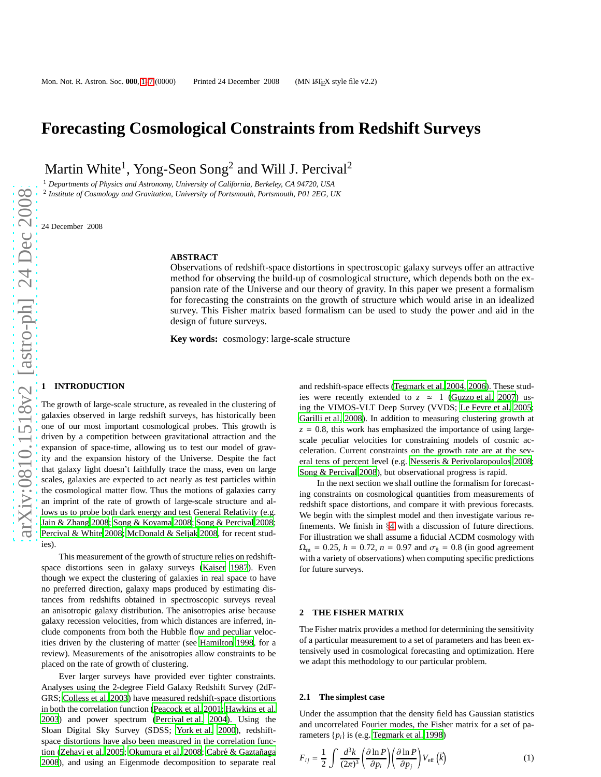# **Forecasting Cosmological Constraints from Redshift Surveys**

Martin White<sup>1</sup>, Yong-Seon Song<sup>2</sup> and Will J. Percival<sup>2</sup>

<sup>1</sup> *Departments of Physics and Astronomy, University of California, Berkeley, CA 94720, USA*

2 *Institute of Cosmology and Gravitation, University of Portsmouth, Portsmouth, P01 2EG, UK*

24 December 2008

## **ABSTRACT**

Observations of redshift-space distortions in spectroscopic galaxy surveys offer an attractive method for observing the build-up of cosmological structure, which depends both on the expansion rate of the Universe and our theory of gravity. In this paper we present a formalism for forecasting the constraints on the growth of structure which would arise in an idealized survey. This Fisher matrix based formalism can be used to study the power and aid in the design of future surveys.

**Key words:** cosmology: large-scale structure

#### **1 INTRODUCTION**

The growth of large-scale structure, as revealed in the clustering of galaxies observed in large redshift surveys, has historically been one of our most important cosmological probes. This growth is driven by a competition between gravitational attraction and the expansion of space-time, allowing us to test our model of gravity and the expansion history of the Universe. Despite the fact that galaxy light doesn't faithfully trace the mass, even on large scales, galaxies are expected to act nearly as test particles within the cosmological matter flow. Thus the motions of galaxies carry an imprint of the rate of growth of large-scale structure and allows us to probe both dark energy and test General Relativity (e.g. [Jain & Zhang 2008;](#page-6-1) [Song & Koyama 2008](#page-6-2); [Song & Percival 2008;](#page-6-3) [Percival & White 2008](#page-6-4); [McDonald & Seljak 2008,](#page-6-5) for recent studies).

This measurement of the growth of structure relies on redshiftspace distortions seen in galaxy surveys [\(Kaiser 1987\)](#page-6-6). Even though we expect the clustering of galaxies in real space to have no preferred direction, galaxy maps produced by estimating distances from redshifts obtained in spectroscopic surveys reveal an anisotropic galaxy distribution. The anisotropies arise because galaxy recession velocities, from which distances are inferred, include components from both the Hubble flow and peculiar velocities driven by the clustering of matter (see [Hamilton 1998](#page-6-7), for a review). Measurements of the anisotropies allow constraints to be placed on the rate of growth of clustering.

Ever larger surveys have provided ever tighter constraints. Analyses using the 2-degree Field Galaxy Redshift Survey (2dF-GRS; [Colless et al. 2003](#page-6-8)) have measured redshift-space distortions in both the correlation function [\(Peacock et al. 2001](#page-6-9); [Hawkins et al.](#page-6-10) [2003](#page-6-10)) and power spectrum [\(Percival et al. 2004](#page-6-11)). Using the Sloan Digital Sky Survey (SDSS; [York et al. 2000](#page-6-12)), redshiftspace distortions have also been measured in the correlation func-tion [\(Zehavi et al. 2005](#page-6-13); [Okumura et al. 2008](#page-6-14); Cabré & Gaztañaga [2008](#page-6-15)), and using an Eigenmode decomposition to separate real

and redshift-space effects [\(Tegmark et al. 2004,](#page-6-16) [2006](#page-6-17)). These studies were recently extended to  $z \approx 1$  [\(Guzzo et al. 2007](#page-6-18)) using the VIMOS-VLT Deep Survey (VVDS; [Le Fevre et al. 2005;](#page-6-19) [Garilli et al. 2008](#page-6-20)). In addition to measuring clustering growth at  $z = 0.8$ , this work has emphasized the importance of using largescale peculiar velocities for constraining models of cosmic acceleration. Current constraints on the growth rate are at the several tens of percent level (e.g. [Nesseris & Perivolaropoulos 2008;](#page-6-21) [Song & Percival 2008](#page-6-3)), but observational progress is rapid.

In the next section we shall outline the formalism for forecasting constraints on cosmological quantities from measurements of redshift space distortions, and compare it with previous forecasts. We begin with the simplest model and then investigate various refinements. We finish in §[4](#page-5-0) with a discussion of future directions. For illustration we shall assume a fiducial ΛCDM cosmology with  $\Omega_{\rm m} = 0.25$ ,  $h = 0.72$ ,  $n = 0.97$  and  $\sigma_8 = 0.8$  (in good agreement with a variety of observations) when computing specific predictions for future surveys.

#### **2 THE FISHER MATRIX**

The Fisher matrix provides a method for determining the sensitivity of a particular measurement to a set of parameters and has been extensively used in cosmological forecasting and optimization. Here we adapt this methodology to our particular problem.

#### <span id="page-0-1"></span>**2.1 The simplest case**

Under the assumption that the density field has Gaussian statistics and uncorrelated Fourier modes, the Fisher matrix for a set of parameters  $\{p_i\}$  is (e.g. [Tegmark et al. 1998](#page-6-22))

<span id="page-0-0"></span>
$$
F_{ij} = \frac{1}{2} \int \frac{d^3 k}{(2\pi)^3} \left( \frac{\partial \ln P}{\partial p_i} \right) \left( \frac{\partial \ln P}{\partial p_j} \right) V_{\text{eff}} \left( \vec{k} \right) \tag{1}
$$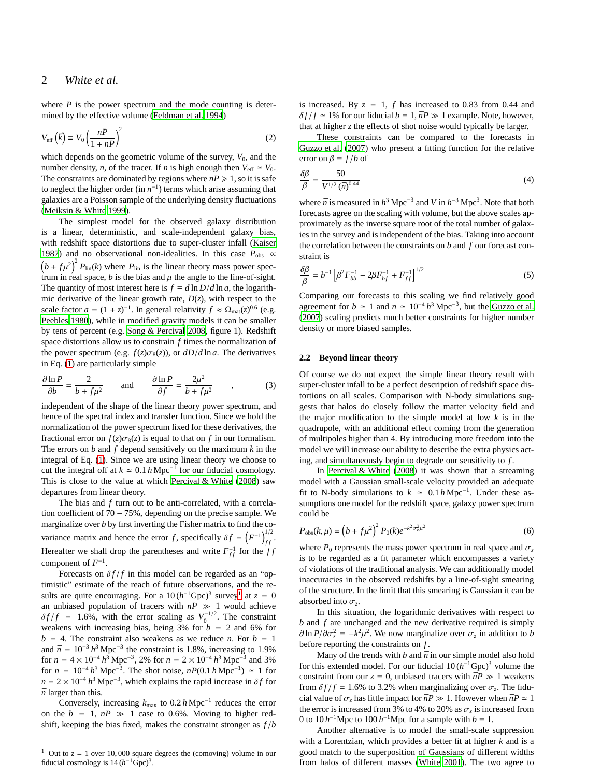where  $P$  is the power spectrum and the mode counting is determined by the effective volume [\(Feldman et al. 1994](#page-6-23))

$$
V_{\text{eff}}\left(\vec{k}\right) \equiv V_0 \left(\frac{\bar{n}P}{1 + \bar{n}P}\right)^2\tag{2}
$$

which depends on the geometric volume of the survey,  $V_0$ , and the number density,  $\bar{n}$ , of the tracer. If  $\bar{n}$  is high enough then  $V_{\text{eff}} \simeq V_0$ . The constraints are dominated by regions where  $\bar{n}P \geq 1$ , so it is safe to neglect the higher order (in  $\bar{n}^{-1}$ ) terms which arise assuming that galaxies are a Poisson sample of the underlying density fluctuations [\(Meiksin & White 1999](#page-6-24)).

The simplest model for the observed galaxy distribution is a linear, deterministic, and scale-independent galaxy bias, with redshift space distortions due to super-cluster infall [\(Kaiser](#page-6-6) [1987](#page-6-6)) and no observational non-idealities. In this case  $P_{\text{obs}} \propto$  $(b + f\mu^2)^2 P_{\text{lin}}(k)$  where  $P_{\text{lin}}$  is the linear theory mass power spectrum in real space,  $b$  is the bias and  $\mu$  the angle to the line-of-sight. The quantity of most interest here is  $f \equiv d \ln D/d \ln a$ , the logarithmic derivative of the linear growth rate,  $D(z)$ , with respect to the scale factor  $a = (1 + z)^{-1}$ . In general relativity  $f \approx \Omega_{\text{mat}}(z)^{0.6}$  (e.g. [Peebles 1980](#page-6-25)), while in modified gravity models it can be smaller by tens of percent (e.g. [Song & Percival 2008](#page-6-3), figure 1). Redshift space distortions allow us to constrain *f* times the normalization of the power spectrum (e.g.  $f(z)\sigma_8(z)$ ), or  $dD/d \ln a$ . The derivatives in Eq. [\(1\)](#page-0-0) are particularly simple

$$
\frac{\partial \ln P}{\partial b} = \frac{2}{b + f\mu^2} \quad \text{and} \quad \frac{\partial \ln P}{\partial f} = \frac{2\mu^2}{b + f\mu^2} \quad , \tag{3}
$$

independent of the shape of the linear theory power spectrum, and hence of the spectral index and transfer function. Since we hold the normalization of the power spectrum fixed for these derivatives, the fractional error on  $f(z)\sigma_8(z)$  is equal to that on f in our formalism. The errors on *b* and *f* depend sensitively on the maximum *k* in the integral of Eq. [\(1\)](#page-0-0). Since we are using linear theory we choose to cut the integral off at  $k \approx 0.1 h \text{ Mpc}^{-1}$  for our fiducial cosmology. This is close to the value at which [Percival & White \(2008](#page-6-4)) saw departures from linear theory.

The bias and *f* turn out to be anti-correlated, with a correlation coefficient of 70 − 75%, depending on the precise sample. We marginalize over *b* by first inverting the Fisher matrix to find the covariance matrix and hence the error *f*, specifically  $\delta f = (F^{-1})_{ff}^{1/2}$ . Hereafter we shall drop the parentheses and write  $F_{ff}^{-1}$  for the  $ff$ component of  $F^{-1}$ .

Forecasts on  $\delta f/f$  in this model can be regarded as an "optimistic" estimate of the reach of future observations, and the results are quite encouraging. For a  $10 (h^{-1}Gpc)^3$  $10 (h^{-1}Gpc)^3$  survey<sup>1</sup> at  $z = 0$ an unbiased population of tracers with  $\bar{n}P \gg 1$  would achieve  $\delta f/f = 1.6\%$ , with the error scaling as  $V_0^{-1/2}$ . The constraint weakens with increasing bias, being  $3\%$  for  $b = 2$  and  $6\%$  for  $b = 4$ . The constraint also weakens as we reduce  $\bar{n}$ . For  $b = 1$ and  $\bar{n} = 10^{-3} h^3 \text{ Mpc}^{-3}$  the constraint is 1.8%, increasing to 1.9% for  $\bar{n} = 4 \times 10^{-4} h^3 \text{ Mpc}^{-3}$ , 2% for  $\bar{n} = 2 \times 10^{-4} h^3 \text{ Mpc}^{-3}$  and 3% for  $\bar{n} = 10^{-4} h^3 \text{ Mpc}^{-3}$ . The shot noise,  $\bar{n}P(0.1 h \text{ Mpc}^{-1}) \approx 1$  for  $\bar{n} = 2 \times 10^{-4} h^3 \text{ Mpc}^{-3}$ , which explains the rapid increase in  $\delta f$  for  $\bar{n}$  larger than this.

Conversely, increasing  $k_{\text{max}}$  to  $0.2 h \text{ Mpc}^{-1}$  reduces the error on the  $b = 1$ ,  $\bar{n}P \gg 1$  case to 0.6%. Moving to higher redshift, keeping the bias fixed, makes the constraint stronger as *f* /*b*

<span id="page-1-0"></span><sup>1</sup> Out to  $z = 1$  over 10,000 square degrees the (comoving) volume in our fiducial cosmology is  $14(h^{-1}Gpc)^3$ .

is increased. By  $z = 1$ ,  $f$  has increased to 0.83 from 0.44 and  $\delta f / f \simeq 1\%$  for our fiducial  $b = 1$ ,  $\bar{n}P \gg 1$  example. Note, however, that at higher *z* the effects of shot noise would typically be larger.

These constraints can be compared to the forecasts in [Guzzo et al. \(2007](#page-6-18)) who present a fitting function for the relative error on  $\beta = f/b$  of

$$
\frac{\delta \beta}{\beta} = \frac{50}{V^{1/2}(\bar{n})^{0.44}}\tag{4}
$$

where  $\bar{n}$  is measured in  $h^3$  Mpc<sup>-3</sup> and *V* in  $h^{-3}$  Mpc<sup>3</sup>. Note that both forecasts agree on the scaling with volume, but the above scales approximately as the inverse square root of the total number of galaxies in the survey and is independent of the bias. Taking into account the correlation between the constraints on *b* and *f* our forecast constraint is

$$
\frac{\delta \beta}{\beta} = b^{-1} \left[ \beta^2 F_{bb}^{-1} - 2\beta F_{bf}^{-1} + F_{ff}^{-1} \right]^{1/2} \tag{5}
$$

Comparing our forecasts to this scaling we find relatively good agreement for  $b \approx 1$  and  $\bar{n} \approx 10^{-4} h^3 \text{ Mpc}^{-3}$ , but the [Guzzo et al.](#page-6-18) [\(2007](#page-6-18)) scaling predicts much better constraints for higher number density or more biased samples.

#### **2.2 Beyond linear theory**

Of course we do not expect the simple linear theory result with super-cluster infall to be a perfect description of redshift space distortions on all scales. Comparison with N-body simulations suggests that halos do closely follow the matter velocity field and the major modification to the simple model at low *k* is in the quadrupole, with an additional effect coming from the generation of multipoles higher than 4. By introducing more freedom into the model we will increase our ability to describe the extra physics acting, and simultaneously begin to degrade our sensitivity to *f* .

In Percival  $&$  White (2008) it was shown that a streaming model with a Gaussian small-scale velocity provided an adequate fit to N-body simulations to  $k \approx 0.1 h \text{ Mpc}^{-1}$ . Under these assumptions one model for the redshift space, galaxy power spectrum could be

$$
P_{\rm obs}(k,\mu) = \left(b + f\mu^2\right)^2 P_0(k)e^{-k^2\sigma_z^2\mu^2}
$$
\n(6)

where  $P_0$  represents the mass power spectrum in real space and  $\sigma_z$ is to be regarded as a fit parameter which encompasses a variety of violations of the traditional analysis. We can additionally model inaccuracies in the observed redshifts by a line-of-sight smearing of the structure. In the limit that this smearing is Gaussian it can be absorbed into  $\sigma_z$ .

In this situation, the logarithmic derivatives with respect to *b* and *f* are unchanged and the new derivative required is simply  $\partial \ln P / \partial \sigma_z^2 = -k^2 \mu^2$ . We now marginalize over  $\sigma_z$  in addition to *b* before reporting the constraints on *f* .

Many of the trends with  $b$  and  $\bar{n}$  in our simple model also hold for this extended model. For our fiducial  $10(h^{-1}Gpc)^3$  volume the constraint from our  $z = 0$ , unbiased tracers with  $\bar{n}P \gg 1$  weakens from  $\delta f/f = 1.6\%$  to 3.2% when marginalizing over  $\sigma_z$ . The fiducial value of  $\sigma_z$  has little impact for  $\bar{n}P \gg 1$ . However when  $\bar{n}P \simeq 1$ the error is increased from 3% to 4% to 20% as  $\sigma_z$  is increased from 0 to  $10 h^{-1}$ Mpc to  $100 h^{-1}$ Mpc for a sample with  $b = 1$ .

Another alternative is to model the small-scale suppression with a Lorentzian, which provides a better fit at higher *k* and is a good match to the superposition of Gaussians of different widths from halos of different masses [\(White 2001](#page-6-26)). The two agree to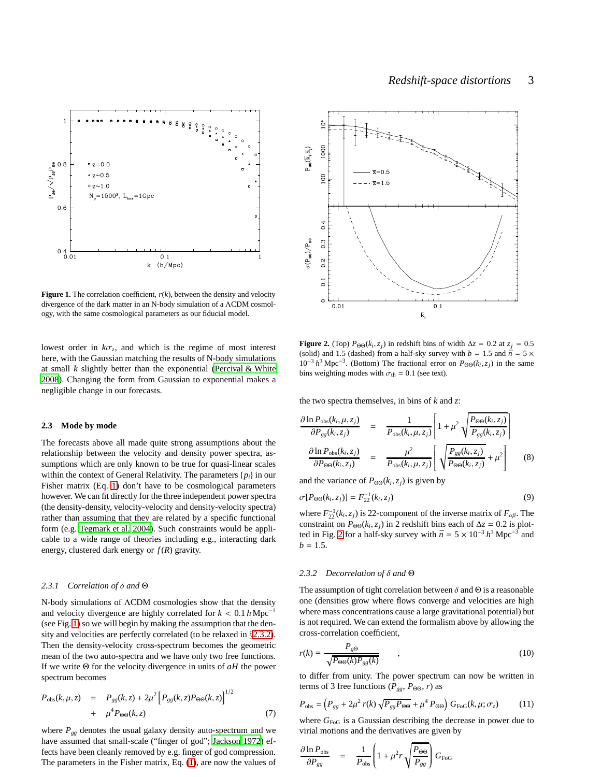

<span id="page-2-0"></span>**Figure 1.** The correlation coefficient,  $r(k)$ , between the density and velocity divergence of the dark matter in an N-body simulation of a ΛCDM cosmology, with the same cosmological parameters as our fiducial model.

lowest order in  $k\sigma_z$ , and which is the regime of most interest here, with the Gaussian matching the results of N-body simulations at small *k* slightly better than the exponential [\(Percival & White](#page-6-4) [2008](#page-6-4)). Changing the form from Gaussian to exponential makes a negligible change in our forecasts.

#### <span id="page-2-4"></span>**2.3 Mode by mode**

The forecasts above all made quite strong assumptions about the relationship between the velocity and density power spectra, assumptions which are only known to be true for quasi-linear scales within the context of General Relativity. The parameters {*pi*} in our Fisher matrix (Eq. [1\)](#page-0-0) don't have to be cosmological parameters however. We can fit directly for the three independent power spectra (the density-density, velocity-velocity and density-velocity spectra) rather than assuming that they are related by a specific functional form (e.g. [Tegmark et al. 2004](#page-6-16)). Such constraints would be applicable to a wide range of theories including e.g., interacting dark energy, clustered dark energy or  $f(R)$  gravity.

#### *2.3.1 Correlation of* δ *and* Θ

N-body simulations of ΛCDM cosmologies show that the density and velocity divergence are highly correlated for  $k < 0.1 h \text{ Mpc}^{-1}$ (see Fig. [1\)](#page-2-0) so we will begin by making the assumption that the density and velocities are perfectly correlated (to be relaxed in §[2.3.2\)](#page-2-1). Then the density-velocity cross-spectrum becomes the geometric mean of the two auto-spectra and we have only two free functions. If we write Θ for the velocity divergence in units of *aH* the power spectrum becomes

$$
P_{\text{obs}}(k, \mu, z) = P_{gg}(k, z) + 2\mu^2 \left[ P_{gg}(k, z) P_{\Theta\Theta}(k, z) \right]^{1/2} + \mu^4 P_{\Theta\Theta}(k, z) \tag{7}
$$

where  $P_{gg}$  denotes the usual galaxy density auto-spectrum and we have assumed that small-scale ("finger of god"; [Jackson 1972\)](#page-6-27) effects have been cleanly removed by e.g. finger of god compression. The parameters in the Fisher matrix, Eq. [\(1\)](#page-0-0), are now the values of



<span id="page-2-2"></span>**Figure 2.** (Top)  $P_{\Theta\Theta}(k_i, z_j)$  in redshift bins of width  $\Delta z = 0.2$  at  $z_j = 0.5$ (solid) and 1.5 (dashed) from a half-sky survey with  $b = 1.5$  and  $\bar{n} = 5 \times$ 10<sup>-3</sup>  $h$ <sup>3</sup> Mpc<sup>-3</sup>. (Bottom) The fractional error on  $P_{\Theta\Theta}(k_i, z_j)$  in the same bins weighting modes with  $\sigma_{\text{th}} = 0.1$  (see text).

the two spectra themselves, in bins of *k* and *z*:

$$
\frac{\partial \ln P_{\text{obs}}(k_i, \mu, z_j)}{\partial P_{gg}(k_i, z_j)} = \frac{1}{P_{\text{obs}}(k_i, \mu, z_j)} \left[ 1 + \mu^2 \sqrt{\frac{P_{\Theta\Theta}(k_i, z_j)}{P_{gg}(k_i, z_j)}} \right]
$$
\n
$$
\frac{\partial \ln P_{\text{obs}}(k_i, z_j)}{\partial P_{\Theta\Theta}(k_i, z_j)} = \frac{\mu^2}{P_{\text{obs}}(k_i, \mu, z_j)} \left[ \sqrt{\frac{P_{gg}(k_i, z_j)}{P_{\Theta\Theta}(k_i, z_j)}} + \mu^2 \right] \tag{8}
$$

and the variance of  $P_{\Theta\Theta}(k_i, z_j)$  is given by

$$
\sigma[P_{\Theta\Theta}(k_i, z_j)] = F_{22}^{-1}(k_i, z_j) \tag{9}
$$

where  $F_{22}^{-1}(k_i, z_j)$  is 22-component of the inverse matrix of  $F_{\alpha\beta}$ . The constraint on  $P_{\Theta\Theta}(k_i, z_j)$  in 2 redshift bins each of  $\Delta z = 0.2$  is plot-ted in Fig. [2](#page-2-2) for a half-sky survey with  $\bar{n} = 5 \times 10^{-3} h^3$  Mpc<sup>-3</sup> and  $b = 1.5$ .

#### <span id="page-2-1"></span>*2.3.2 Decorrelation of* δ *and* Θ

The assumption of tight correlation between  $\delta$  and  $\Theta$  is a reasonable one (densities grow where flows converge and velocities are high where mass concentrations cause a large gravitational potential) but is not required. We can extend the formalism above by allowing the cross-correlation coefficient,

$$
r(k) \equiv \frac{P_{g\Theta}}{\sqrt{P_{\Theta\Theta}(k)P_{gg}(k)}} \qquad , \qquad (10)
$$

to differ from unity. The power spectrum can now be written in terms of 3 free functions ( $P_{gg}$ ,  $P_{\Theta\Theta}$ , *r*) as

<span id="page-2-3"></span>
$$
P_{\rm obs} = \left(P_{gg} + 2\mu^2 r(k) \sqrt{P_{gg} P_{\Theta\Theta}} + \mu^4 P_{\Theta\Theta}\right) G_{\rm FoG}(k, \mu; \sigma_z)
$$
(11)

where  $G_{\text{FoG}}$  is a Gaussian describing the decrease in power due to virial motions and the derivatives are given by

<span id="page-2-5"></span>
$$
\frac{\partial \ln P_{\rm obs}}{\partial P_{gg}} = \frac{1}{P_{\rm obs}} \left( 1 + \mu^2 r \sqrt{\frac{P_{\Theta\Theta}}{P_{gg}}} \right) G_{\rm FoG}
$$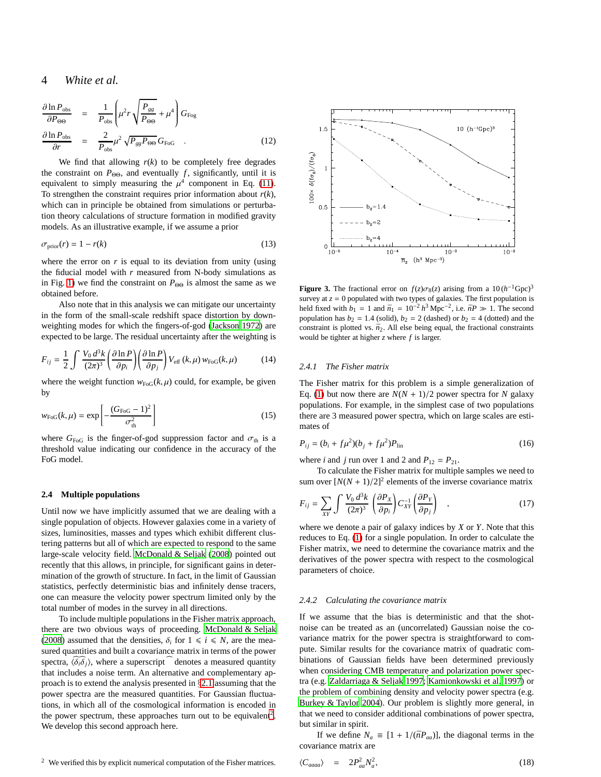## 4 *White et al.*

$$
\frac{\partial \ln P_{\text{obs}}}{\partial P_{\Theta\Theta}} = \frac{1}{P_{\text{obs}}} \left( \mu^2 r \sqrt{\frac{P_{gg}}{P_{\Theta\Theta}}} + \mu^4 \right) G_{\text{Fog}}
$$
\n
$$
\frac{\partial \ln P_{\text{obs}}}{\partial r} = \frac{2}{P_{\text{obs}}} \mu^2 \sqrt{P_{gg} P_{\Theta\Theta}} G_{\text{Fog}} \quad . \tag{12}
$$

We find that allowing  $r(k)$  to be completely free degrades the constraint on  $P_{\Theta\Theta}$ , and eventually *f*, significantly, until it is equivalent to simply measuring the  $\mu^4$  component in Eq. [\(11\)](#page-2-3). To strengthen the constraint requires prior information about  $r(k)$ , which can in principle be obtained from simulations or perturbation theory calculations of structure formation in modified gravity models. As an illustrative example, if we assume a prior

$$
\sigma_{\text{prior}}(r) = 1 - r(k) \tag{13}
$$

where the error on  $r$  is equal to its deviation from unity (using the fiducial model with *r* measured from N-body simulations as in Fig. [1\)](#page-2-0) we find the constraint on  $P_{\Theta\Theta}$  is almost the same as we obtained before.

Also note that in this analysis we can mitigate our uncertainty in the form of the small-scale redshift space distortion by downweighting modes for which the fingers-of-god [\(Jackson 1972](#page-6-27)) are expected to be large. The residual uncertainty after the weighting is

$$
F_{ij} = \frac{1}{2} \int \frac{V_0 d^3k}{(2\pi)^3} \left(\frac{\partial \ln P}{\partial p_i}\right) \left(\frac{\partial \ln P}{\partial p_j}\right) V_{\text{eff}}(k,\mu) w_{\text{FoG}}(k,\mu) \tag{14}
$$

where the weight function  $w_{\text{FoG}}(k,\mu)$  could, for example, be given by

$$
w_{\text{FoG}}(k,\mu) = \exp\left[-\frac{(G_{\text{FoG}} - 1)^2}{\sigma_{\text{th}}^2}\right]
$$
 (15)

where  $G_{\text{FoG}}$  is the finger-of-god suppression factor and  $\sigma_{\text{th}}$  is a threshold value indicating our confidence in the accuracy of the FoG model.

#### <span id="page-3-3"></span>**2.4 Multiple populations**

Until now we have implicitly assumed that we are dealing with a single population of objects. However galaxies come in a variety of sizes, luminosities, masses and types which exhibit different clustering patterns but all of which are expected to respond to the same large-scale velocity field. [McDonald & Seljak](#page-6-5) [\(2008](#page-6-5)) pointed out recently that this allows, in principle, for significant gains in determination of the growth of structure. In fact, in the limit of Gaussian statistics, perfectly deterministic bias and infinitely dense tracers, one can measure the velocity power spectrum limited only by the total number of modes in the survey in all directions.

<span id="page-3-0"></span>To include multiple populations in the Fisher matrix approach, there are two obvious ways of proceeding. [McDonald & Seljak](#page-6-5) [\(2008](#page-6-5)) assumed that the densities,  $\delta_i$  for  $1 \le i \le N$ , are the measured quantities and built a covariance matrix in terms of the power spectra,  $\langle \delta_i \delta_j \rangle$ , where a superscript denotes a measured quantity that includes a noise term. An alternative and complementary approach is to extend the analysis presented in §[2.1](#page-0-1) assuming that the power spectra are the measured quantities. For Gaussian fluctuations, in which all of the cosmological information is encoded in the power spectrum, these approaches turn out to be equivalent<sup>[2](#page-3-0)</sup>. We develop this second approach here.



<span id="page-3-2"></span>**Figure 3.** The fractional error on  $f(z)\sigma_8(z)$  arising from a  $10(h^{-1}Gpc)^3$ survey at  $z = 0$  populated with two types of galaxies. The first population is held fixed with  $b_1 = 1$  and  $\bar{n}_1 = 10^{-2} h^3 \text{ Mpc}^{-2}$ , i.e.  $\bar{n}P \gg 1$ . The second population has  $b_2 = 1.4$  (solid),  $b_2 = 2$  (dashed) or  $b_2 = 4$  (dotted) and the constraint is plotted vs.  $\bar{n}_2$ . All else being equal, the fractional constraints would be tighter at higher *z* where *f* is larger.

#### *2.4.1 The Fisher matrix*

The Fisher matrix for this problem is a simple generalization of Eq. [\(1\)](#page-0-0) but now there are  $N(N + 1)/2$  power spectra for *N* galaxy populations. For example, in the simplest case of two populations there are 3 measured power spectra, which on large scales are estimates of

$$
P_{ij} = (b_i + f\mu^2)(b_j + f\mu^2)P_{\text{lin}}\tag{16}
$$

where *i* and *j* run over 1 and 2 and  $P_{12} = P_{21}$ .

To calculate the Fisher matrix for multiple samples we need to sum over  $[N(N+1)/2]^2$  elements of the inverse covariance matrix

<span id="page-3-1"></span>
$$
F_{ij} = \sum_{XY} \int \frac{V_0 d^3 k}{(2\pi)^3} \left(\frac{\partial P_X}{\partial p_i}\right) C_{XY}^{-1} \left(\frac{\partial P_Y}{\partial p_j}\right) , \qquad (17)
$$

where we denote a pair of galaxy indices by *X* or *Y*. Note that this reduces to Eq. [\(1\)](#page-0-0) for a single population. In order to calculate the Fisher matrix, we need to determine the covariance matrix and the derivatives of the power spectra with respect to the cosmological parameters of choice.

#### *2.4.2 Calculating the covariance matrix*

If we assume that the bias is deterministic and that the shotnoise can be treated as an (uncorrelated) Gaussian noise the covariance matrix for the power spectra is straightforward to compute. Similar results for the covariance matrix of quadratic combinations of Gaussian fields have been determined previously when considering CMB temperature and polarization power spectra (e.g. [Zaldarriaga & Seljak 1997](#page-6-28); [Kamionkowski et al. 1997](#page-6-29)) or the problem of combining density and velocity power spectra (e.g. [Burkey & Taylor 2004\)](#page-6-30). Our problem is slightly more general, in that we need to consider additional combinations of power spectra, but similar in spirit.

If we define  $N_a \equiv [1 + 1/(\bar{n}P_{aa})]$ , the diagonal terms in the covariance matrix are

$$
\langle C_{aaaa} \rangle = 2P_{aa}^2 N_a^2, \qquad (18)
$$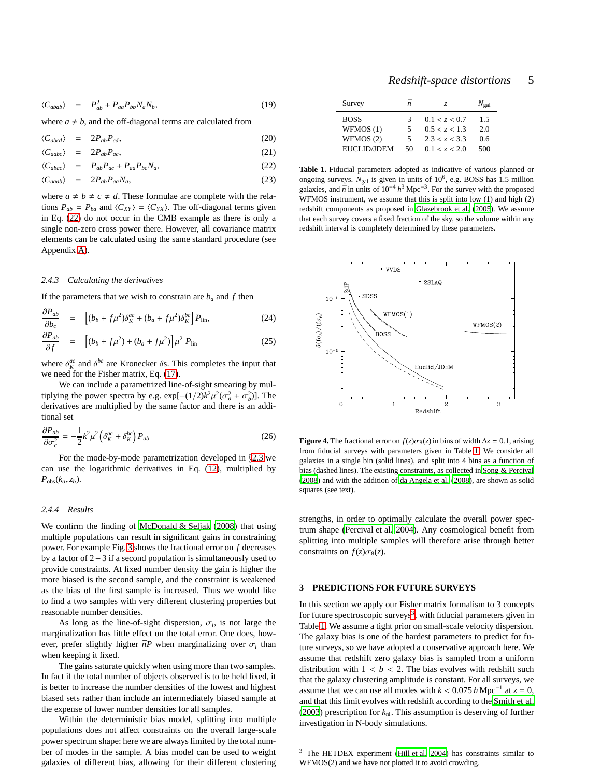$$
\langle C_{abab} \rangle = P_{ab}^2 + P_{aa} P_{bb} N_a N_b, \qquad (19)
$$

where  $a \neq b$ , and the off-diagonal terms are calculated from

<span id="page-4-0"></span>
$$
\langle C_{abcd} \rangle = 2P_{ab}P_{cd}, \qquad (20)
$$

$$
\langle C_{aabc} \rangle = 2P_{ab}P_{ac}, \qquad (21)
$$

 $\langle C_{abac} \rangle$  =  $P_{ab}P_{ac} + P_{aa}P_{bc}N_a$ , (22)

$$
\langle C_{aaab} \rangle = 2P_{ab}P_{aa}N_a, \tag{23}
$$

where  $a \neq b \neq c \neq d$ . These formulae are complete with the relations  $P_{ab} = P_{ba}$  and  $\langle C_{XY} \rangle = \langle C_{YX} \rangle$ . The off-diagonal terms given in Eq. [\(22\)](#page-4-0) do not occur in the CMB example as there is only a single non-zero cross power there. However, all covariance matrix elements can be calculated using the same standard procedure (see Appendix [A\)](#page-6-31).

## *2.4.3 Calculating the derivatives*

∂*Pab*

If the parameters that we wish to constrain are  $b_a$  and  $f$  then

$$
\frac{\partial P_{ab}}{\partial b_c} = \left[ (b_b + f\mu^2) \delta_K^{ac} + (b_a + f\mu^2) \delta_K^{bc} \right] P_{\text{lin}},\tag{24}
$$
\n
$$
\frac{\partial P_{ab}}{\partial t} = \left[ (b_b + f\mu^2) \delta_K^{ac} + (b_a + f\mu^2) \delta_K^{bc} \right] P_{\text{lin}},\tag{25}
$$

$$
\frac{\partial P_{ab}}{\partial f} = \left[ (b_b + f\mu^2) + (b_a + f\mu^2) \right] \mu^2 P_{\text{lin}} \tag{25}
$$

where  $\delta_K^{ac}$  and  $\delta_{bc}^{bc}$  are Kronecker  $\delta$ s. This completes the input that we need for the Fisher matrix, Eq. [\(17\)](#page-3-1).

We can include a parametrized line-of-sight smearing by multiplying the power spectra by e.g.  $\exp[-(1/2)k^2\mu^2(\sigma_a^2 + \sigma_b^2)]$ . The derivatives are multiplied by the same factor and there is an additional set

$$
\frac{\partial P_{ab}}{\partial \sigma_c^2} = -\frac{1}{2} k^2 \mu^2 \left( \delta_K^{ac} + \delta_K^{bc} \right) P_{ab} \tag{26}
$$

For the mode-by-mode parametrization developed in §[2.3](#page-2-4) we can use the logarithmic derivatives in Eq. [\(12\)](#page-2-5), multiplied by  $P_{\text{obs}}(k_a, z_b)$ .

#### *2.4.4 Results*

We confirm the finding of [McDonald & Seljak \(2008\)](#page-6-5) that using multiple populations can result in significant gains in constraining power. For example Fig. [3](#page-3-2) shows the fractional error on *f* decreases by a factor of 2−3 if a second population is simultaneously used to provide constraints. At fixed number density the gain is higher the more biased is the second sample, and the constraint is weakened as the bias of the first sample is increased. Thus we would like to find a two samples with very different clustering properties but reasonable number densities.

As long as the line-of-sight dispersion,  $\sigma_i$ , is not large the marginalization has little effect on the total error. One does, however, prefer slightly higher  $\bar{n}P$  when marginalizing over  $\sigma_i$  than when keeping it fixed.

The gains saturate quickly when using more than two samples. In fact if the total number of objects observed is to be held fixed, it is better to increase the number densities of the lowest and highest biased sets rather than include an intermediately biased sample at the expense of lower number densities for all samples.

Within the deterministic bias model, splitting into multiple populations does not affect constraints on the overall large-scale power spectrum shape: here we are always limited by the total number of modes in the sample. A bias model can be used to weight galaxies of different bias, allowing for their different clustering

| Redshift-space distortions |  | 5 |
|----------------------------|--|---|
|----------------------------|--|---|

| Survey             | ñ  | Z.            | $N_{\rm gal}$ |
|--------------------|----|---------------|---------------|
| <b>BOSS</b>        | 3  | 0.1 < z < 0.7 | 1.5           |
| WFMOS(1)           | 5  | 0.5 < z < 1.3 | 2.0           |
| WFMOS(2)           | 5  | 2.3 < z < 3.3 | 0.6           |
| <b>EUCLID/JDEM</b> | 50 | 0.1 < z < 2.0 | 500           |

<span id="page-4-1"></span>**Table 1.** Fiducial parameters adopted as indicative of various planned or ongoing surveys.  $N_{\text{gal}}$  is given in units of  $10^6$ , e.g. BOSS has 1.5 million galaxies, and  $\bar{n}$  in units of 10<sup>-4</sup>  $h^3$  Mpc<sup>-3</sup>. For the survey with the proposed WFMOS instrument, we assume that this is split into low (1) and high (2) redshift components as proposed in [Glazebrook et al. \(2005](#page-6-32)). We assume that each survey covers a fixed fraction of the sky, so the volume within any redshift interval is completely determined by these parameters.



<span id="page-4-3"></span>**Figure 4.** The fractional error on  $f(z)\sigma_8(z)$  in bins of width  $\Delta z = 0.1$ , arising from fiducial surveys with parameters given in Table [1.](#page-4-1) We consider all galaxies in a single bin (solid lines), and split into 4 bins as a function of bias (dashed lines). The existing constraints, as collected in [Song & Percival](#page-6-3) [\(2008\)](#page-6-3) and with the addition of [da Angela et al. \(2008](#page-6-33)), are shown as solid squares (see text).

strengths, in order to optimally calculate the overall power spectrum shape [\(Percival et al. 2004](#page-6-34)). Any cosmological benefit from splitting into multiple samples will therefore arise through better constraints on  $f(z)\sigma_8(z)$ .

#### **3 PREDICTIONS FOR FUTURE SURVEYS**

In this section we apply our Fisher matrix formalism to 3 concepts for future spectroscopic surveys<sup>[3](#page-4-2)</sup>, with fiducial parameters given in Table [1.](#page-4-1) We assume a tight prior on small-scale velocity dispersion. The galaxy bias is one of the hardest parameters to predict for future surveys, so we have adopted a conservative approach here. We assume that redshift zero galaxy bias is sampled from a uniform distribution with  $1 < b < 2$ . The bias evolves with redshift such that the galaxy clustering amplitude is constant. For all surveys, we assume that we can use all modes with  $k < 0.075 h \text{ Mpc}^{-1}$  at  $z = 0$ , and that this limit evolves with redshift according to the [Smith et al.](#page-6-35) [\(2003](#page-6-35)) prescription for  $k_{nl}$ . This assumption is deserving of further investigation in N-body simulations.

<span id="page-4-2"></span><sup>3</sup> The HETDEX experiment [\(Hill et al. 2004](#page-6-36)) has constraints similar to WFMOS(2) and we have not plotted it to avoid crowding.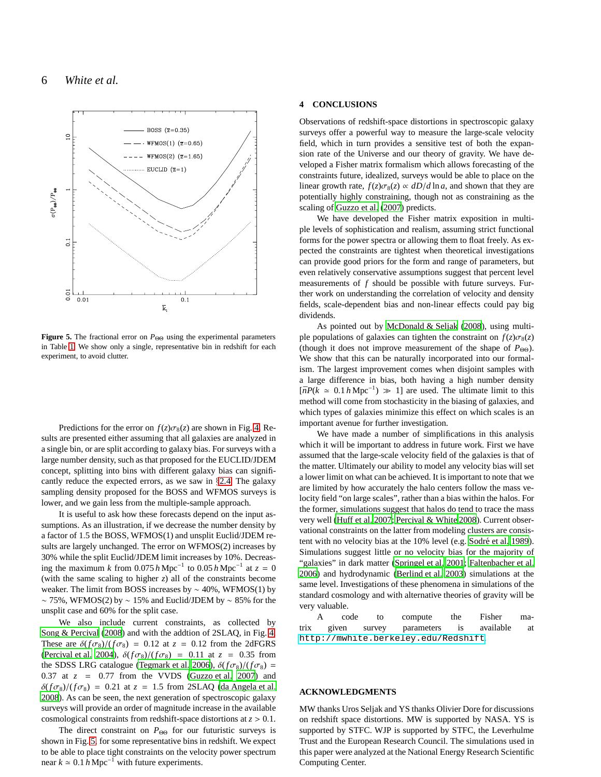

<span id="page-5-1"></span>**Figure 5.** The fractional error on *P*ΘΘ using the experimental parameters in Table [1.](#page-4-1) We show only a single, representative bin in redshift for each experiment, to avoid clutter.

Predictions for the error on  $f(z)\sigma_8(z)$  are shown in Fig. [4.](#page-4-3) Results are presented either assuming that all galaxies are analyzed in a single bin, or are split according to galaxy bias. For surveys with a large number density, such as that proposed for the EUCLID/JDEM concept, splitting into bins with different galaxy bias can significantly reduce the expected errors, as we saw in §[2.4.](#page-3-3) The galaxy sampling density proposed for the BOSS and WFMOS surveys is lower, and we gain less from the multiple-sample approach.

It is useful to ask how these forecasts depend on the input assumptions. As an illustration, if we decrease the number density by a factor of 1.5 the BOSS, WFMOS(1) and unsplit Euclid/JDEM results are largely unchanged. The error on WFMOS(2) increases by 30% while the split Euclid/JDEM limit increases by 10%. Decreasing the maximum *k* from 0.075 *h* Mpc<sup>−1</sup> to 0.05 *h* Mpc<sup>−1</sup> at  $z = 0$ (with the same scaling to higher *z*) all of the constraints become weaker. The limit from BOSS increases by  $\sim$  40%, WFMOS(1) by  $\sim$  75%, WFMOS(2) by  $\sim$  15% and Euclid/JDEM by  $\sim$  85% for the unsplit case and 60% for the split case.

We also include current constraints, as collected by [Song & Percival \(2008](#page-6-3)) and with the addtion of 2SLAQ, in Fig. [4.](#page-4-3) These are  $\delta(f\sigma_8)/(f\sigma_8) = 0.12$  at  $z = 0.12$  from the 2dFGRS [\(Percival et al. 2004\)](#page-6-11),  $\delta(f\sigma_8)/(f\sigma_8) = 0.11$  at  $z = 0.35$  from the SDSS LRG catalogue [\(Tegmark et al. 2006\)](#page-6-17),  $\delta(f\sigma_8)/(f\sigma_8)$  = 0.37 at  $z = 0.77$  from the VVDS [\(Guzzo et al. 2007\)](#page-6-18) and  $\delta(f\sigma_8)/(f\sigma_8) = 0.21$  at  $z = 1.5$  from 2SLAQ [\(da Angela et al.](#page-6-33) [2008](#page-6-33)). As can be seen, the next generation of spectroscopic galaxy surveys will provide an order of magnitude increase in the available cosmological constraints from redshift-space distortions at *z* > 0.1.

The direct constraint on  $P_{\Theta\Theta}$  for our futuristic surveys is shown in Fig. [5,](#page-5-1) for some representative bins in redshift. We expect to be able to place tight constraints on the velocity power spectrum near  $k \approx 0.1 h \text{ Mpc}^{-1}$  with future experiments.

#### <span id="page-5-0"></span>**4 CONCLUSIONS**

Observations of redshift-space distortions in spectroscopic galaxy surveys offer a powerful way to measure the large-scale velocity field, which in turn provides a sensitive test of both the expansion rate of the Universe and our theory of gravity. We have developed a Fisher matrix formalism which allows forecasting of the constraints future, idealized, surveys would be able to place on the linear growth rate,  $f(z)\sigma_8(z) \propto dD/d \ln a$ , and shown that they are potentially highly constraining, though not as constraining as the scaling of [Guzzo et al. \(2007\)](#page-6-18) predicts.

We have developed the Fisher matrix exposition in multiple levels of sophistication and realism, assuming strict functional forms for the power spectra or allowing them to float freely. As expected the constraints are tightest when theoretical investigations can provide good priors for the form and range of parameters, but even relatively conservative assumptions suggest that percent level measurements of *f* should be possible with future surveys. Further work on understanding the correlation of velocity and density fields, scale-dependent bias and non-linear effects could pay big dividends.

As pointed out by [McDonald & Seljak \(2008\)](#page-6-5), using multiple populations of galaxies can tighten the constraint on  $f(z)\sigma_8(z)$ (though it does not improve measurement of the shape of  $P_{\Theta\Theta}$ ). We show that this can be naturally incorporated into our formalism. The largest improvement comes when disjoint samples with a large difference in bias, both having a high number density  $[\bar{n}P(k \approx 0.1 h \text{ Mpc}^{-1}) \gg 1]$  are used. The ultimate limit to this method will come from stochasticity in the biasing of galaxies, and which types of galaxies minimize this effect on which scales is an important avenue for further investigation.

We have made a number of simplifications in this analysis which it will be important to address in future work. First we have assumed that the large-scale velocity field of the galaxies is that of the matter. Ultimately our ability to model any velocity bias will set a lower limit on what can be achieved. It is important to note that we are limited by how accurately the halo centers follow the mass velocity field "on large scales", rather than a bias within the halos. For the former, simulations suggest that halos do tend to trace the mass very well [\(Huff et al. 2007](#page-6-37); [Percival & White 2008\)](#page-6-4). Current observational constraints on the latter from modeling clusters are consis-tent with no velocity bias at the 10% level (e.g. Sodré et al. [1989](#page-6-38)). Simulations suggest little or no velocity bias for the majority of "galaxies" in dark matter [\(Springel et al. 2001](#page-6-39); [Faltenbacher et al.](#page-6-40) [2006](#page-6-40)) and hydrodynamic [\(Berlind et al. 2003](#page-6-41)) simulations at the same level. Investigations of these phenomena in simulations of the standard cosmology and with alternative theories of gravity will be very valuable.

A code to compute the Fisher matrix given survey parameters is available at <http://mwhite.berkeley.edu/Redshift>.

## **ACKNOWLEDGMENTS**

MW thanks Uros Seljak and YS thanks Olivier Dore for discussions on redshift space distortions. MW is supported by NASA. YS is supported by STFC. WJP is supported by STFC, the Leverhulme Trust and the European Research Council. The simulations used in this paper were analyzed at the National Energy Research Scientific Computing Center.